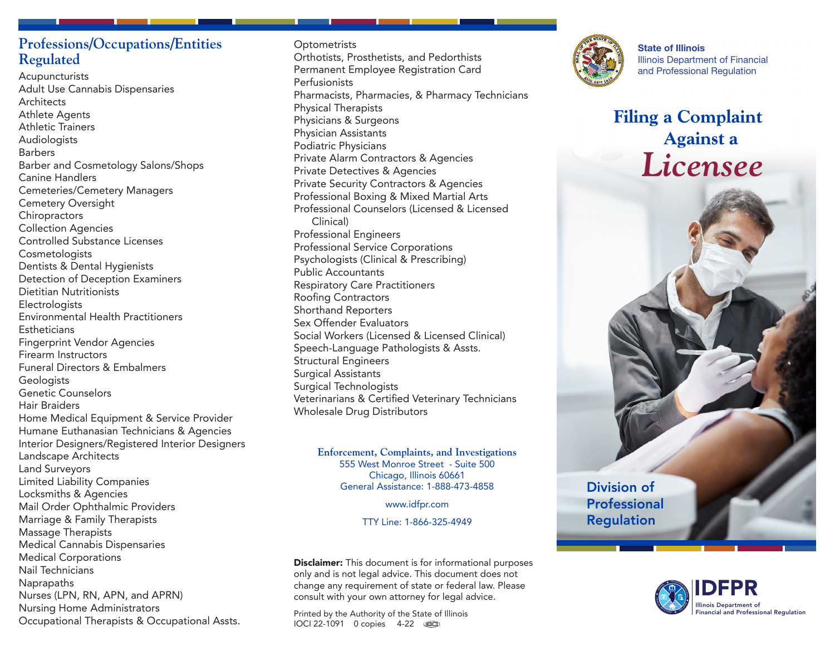# **Professions/Occupations/Entities Regulated**

Acupuncturists Adult Use Cannabis Dispensaries **Architects** Athlete Agents Athletic Trainers Audiologists Barbers Barber and Cosmetology Salons/Shops Canine Handlers Cemeteries/Cemetery Managers Cemetery Oversight **Chiropractors** Collection Agencies Controlled Substance Licenses **Cosmetologists** Dentists & Dental Hygienists Detection of Deception Examiners Dietitian Nutritionists **Electrologists** Environmental Health Practitioners **Estheticians** Fingerprint Vendor Agencies Firearm Instructors Funeral Directors & Embalmers **Geologists** Genetic Counselors Hair Braiders Home Medical Equipment & Service Provider Humane Euthanasian Technicians & Agencies Interior Designers/Registered Interior Designers Landscape Architects Land Surveyors Limited Liability Companies Locksmiths & Agencies Mail Order Ophthalmic Providers Marriage & Family Therapists Massage Therapists Medical Cannabis Dispensaries Medical Corporations Nail Technicians Naprapaths Nurses (LPN, RN, APN, and APRN) Nursing Home Administrators Occupational Therapists & Occupational Assts.

**Optometrists** Orthotists, Prosthetists, and Pedorthists Permanent Employee Registration Card **Perfusionists** Pharmacists, Pharmacies, & Pharmacy Technicians Physical Therapists Physicians & Surgeons Physician Assistants Podiatric Physicians Private Alarm Contractors & Agencies Private Detectives & Agencies Private Security Contractors & Agencies Professional Boxing & Mixed Martial Arts Professional Counselors (Licensed & Licensed Clinical) Professional Engineers Professional Service Corporations Psychologists (Clinical & Prescribing) Public Accountants Respiratory Care Practitioners Roofing Contractors Shorthand Reporters Sex Offender Evaluators Social Workers (Licensed & Licensed Clinical) Speech-Language Pathologists & Assts. Structural Engineers Surgical Assistants Surgical Technologists Veterinarians & Certified Veterinary Technicians Wholesale Drug Distributors

> **Enforcement, Complaints, and Investigations** 555 West Monroe Street - Suite 500 Chicago, Illinois 60661 General Assistance: 1-888-473-4858

> > www.idfpr.com

TTY Line: 1-866-325-4949

**Disclaimer:** This document is for informational purposes only and is not legal advice. This document does not change any requirement of state or federal law. Please consult with your own attorney for legal advice.

Printed by the Authority of the State of Illinois IOCI 22-1091 0 copies 4-22



State of Illinois Illinois Department of Financial and Professional Regulation

**Filing a Complaint Against a** *Licensee*

Division of Professional Regulation